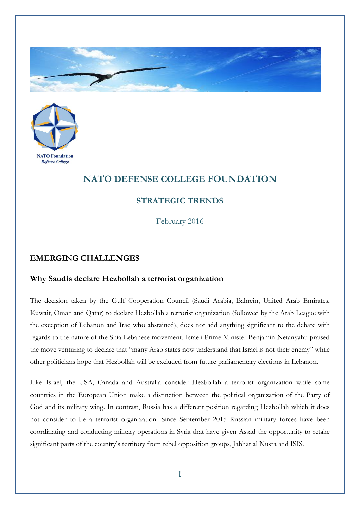



## **NATO DEFENSE COLLEGE FOUNDATION**

## **STRATEGIC TRENDS**

February 2016

## **EMERGING CHALLENGES**

## **Why Saudis declare Hezbollah a terrorist organization**

The decision taken by the Gulf Cooperation Council (Saudi Arabia, Bahrein, United Arab Emirates, Kuwait, Oman and Qatar) to declare Hezbollah a terrorist organization (followed by the Arab League with the exception of Lebanon and Iraq who abstained), does not add anything significant to the debate with regards to the nature of the Shia Lebanese movement. Israeli Prime Minister Benjamin Netanyahu praised the move venturing to declare that "many Arab states now understand that Israel is not their enemy" while other politicians hope that Hezbollah will be excluded from future parliamentary elections in Lebanon.

Like Israel, the USA, Canada and Australia consider Hezbollah a terrorist organization while some countries in the European Union make a distinction between the political organization of the Party of God and its military wing. In contrast, Russia has a different position regarding Hezbollah which it does not consider to be a terrorist organization. Since September 2015 Russian military forces have been coordinating and conducting military operations in Syria that have given Assad the opportunity to retake significant parts of the country's territory from rebel opposition groups, Jabhat al Nusra and ISIS.

1